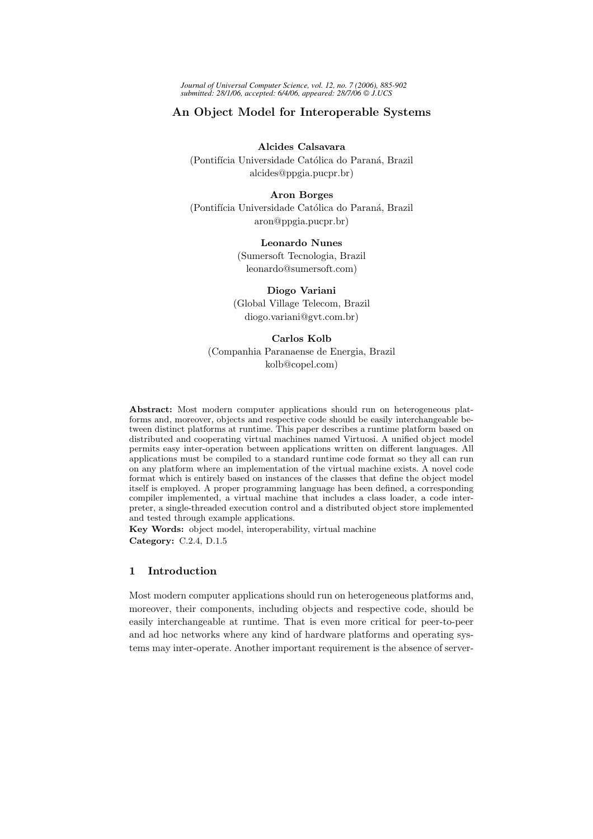*Journal of Universal Computer Science, vol. 12, no. 7 (2006), 885-902 submitted: 28/1/06, accepted: 6/4/06, appeared: 28/7/06 J.UCS*

# An Object Model for Interoperable Systems

Alcides Calsavara (Pontifícia Universidade Católica do Paraná, Brazil alcides@ppgia.pucpr.br)

Aron Borges

(Pontifícia Universidade Católica do Paraná, Brazil aron@ppgia.pucpr.br)

Leonardo Nunes

(Sumersoft Tecnologia, Brazil leonardo@sumersoft.com)

Diogo Variani (Global Village Telecom, Brazil diogo.variani@gvt.com.br)

Carlos Kolb (Companhia Paranaense de Energia, Brazil kolb@copel.com)

Abstract: Most modern computer applications should run on heterogeneous platforms and, moreover, objects and respective code should be easily interchangeable between distinct platforms at runtime. This paper describes a runtime platform based on distributed and cooperating virtual machines named Virtuosi. A unified object model permits easy inter-operation between applications written on different languages. All applications must be compiled to a standard runtime code format so they all can run on any platform where an implementation of the virtual machine exists. A novel code format which is entirely based on instances of the classes that define the object model itself is employed. A proper programming language has been defined, a corresponding compiler implemented, a virtual machine that includes a class loader, a code interpreter, a single-threaded execution control and a distributed object store implemented and tested through example applications.

Key Words: object model, interoperability, virtual machine Category: C.2.4, D.1.5

# 1 Introduction

Most modern computer applications should run on heterogeneous platforms and, moreover, their components, including objects and respective code, should be easily interchangeable at runtime. That is even more critical for peer-to-peer and ad hoc networks where any kind of hardware platforms and operating systems may inter-operate. Another important requirement is the absence of server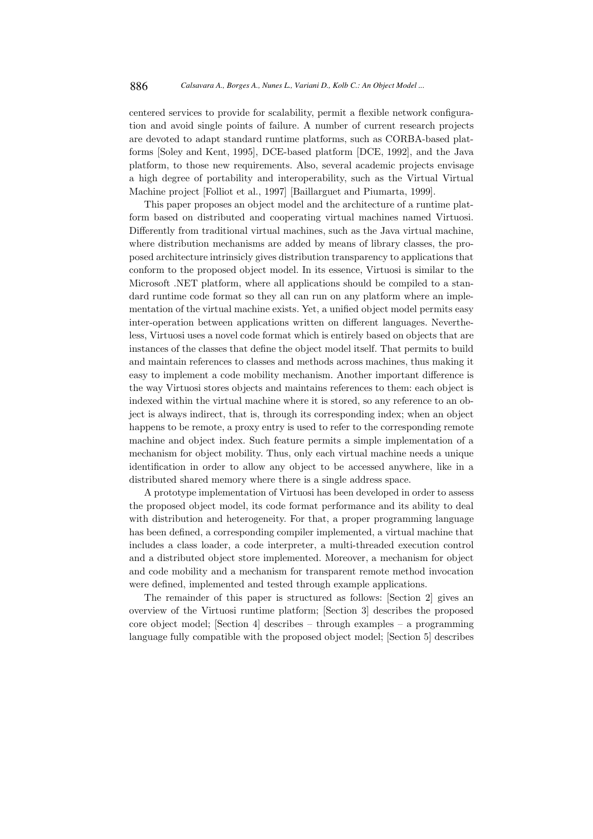centered services to provide for scalability, permit a flexible network configuration and avoid single points of failure. A number of current research projects are devoted to adapt standard runtime platforms, such as CORBA-based platforms [Soley and Kent, 1995], DCE-based platform [DCE, 1992], and the Java platform, to those new requirements. Also, several academic projects envisage a high degree of portability and interoperability, such as the Virtual Virtual Machine project [Folliot et al., 1997] [Baillarguet and Piumarta, 1999].

This paper proposes an object model and the architecture of a runtime platform based on distributed and cooperating virtual machines named Virtuosi. Differently from traditional virtual machines, such as the Java virtual machine, where distribution mechanisms are added by means of library classes, the proposed architecture intrinsicly gives distribution transparency to applications that conform to the proposed object model. In its essence, Virtuosi is similar to the Microsoft .NET platform, where all applications should be compiled to a standard runtime code format so they all can run on any platform where an implementation of the virtual machine exists. Yet, a unified object model permits easy inter-operation between applications written on different languages. Nevertheless, Virtuosi uses a novel code format which is entirely based on objects that are instances of the classes that define the object model itself. That permits to build and maintain references to classes and methods across machines, thus making it easy to implement a code mobility mechanism. Another important difference is the way Virtuosi stores objects and maintains references to them: each object is indexed within the virtual machine where it is stored, so any reference to an object is always indirect, that is, through its corresponding index; when an object happens to be remote, a proxy entry is used to refer to the corresponding remote machine and object index. Such feature permits a simple implementation of a mechanism for object mobility. Thus, only each virtual machine needs a unique identification in order to allow any object to be accessed anywhere, like in a distributed shared memory where there is a single address space.

A prototype implementation of Virtuosi has been developed in order to assess the proposed object model, its code format performance and its ability to deal with distribution and heterogeneity. For that, a proper programming language has been defined, a corresponding compiler implemented, a virtual machine that includes a class loader, a code interpreter, a multi-threaded execution control and a distributed object store implemented. Moreover, a mechanism for object and code mobility and a mechanism for transparent remote method invocation were defined, implemented and tested through example applications.

The remainder of this paper is structured as follows: [Section 2] gives an overview of the Virtuosi runtime platform; [Section 3] describes the proposed core object model; [Section 4] describes – through examples – a programming language fully compatible with the proposed object model; [Section 5] describes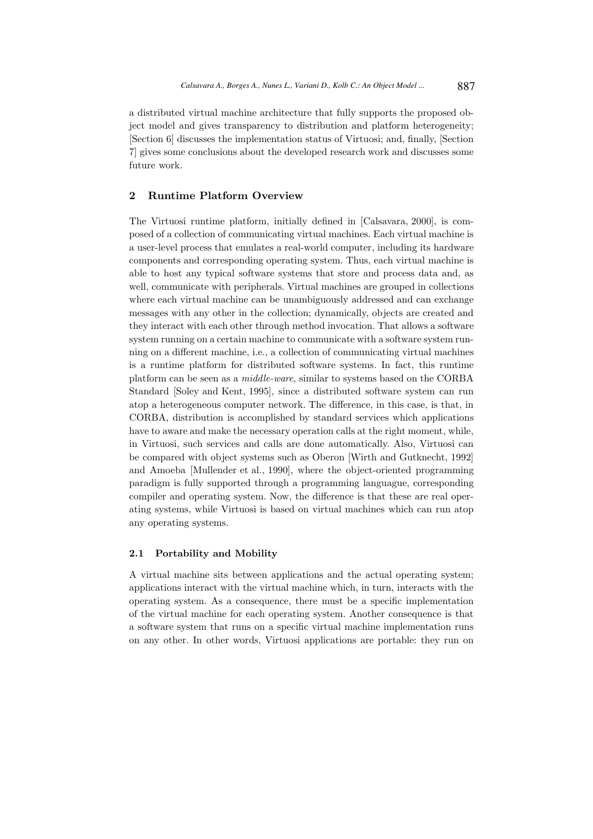a distributed virtual machine architecture that fully supports the proposed object model and gives transparency to distribution and platform heterogeneity; [Section 6] discusses the implementation status of Virtuosi; and, finally, [Section 7] gives some conclusions about the developed research work and discusses some future work.

# 2 Runtime Platform Overview

The Virtuosi runtime platform, initially defined in [Calsavara, 2000], is composed of a collection of communicating virtual machines. Each virtual machine is a user-level process that emulates a real-world computer, including its hardware components and corresponding operating system. Thus, each virtual machine is able to host any typical software systems that store and process data and, as well, communicate with peripherals. Virtual machines are grouped in collections where each virtual machine can be unambiguously addressed and can exchange messages with any other in the collection; dynamically, objects are created and they interact with each other through method invocation. That allows a software system running on a certain machine to communicate with a software system running on a different machine, i.e., a collection of communicating virtual machines is a runtime platform for distributed software systems. In fact, this runtime platform can be seen as a middle-ware, similar to systems based on the CORBA Standard [Soley and Kent, 1995], since a distributed software system can run atop a heterogeneous computer network. The difference, in this case, is that, in CORBA, distribution is accomplished by standard services which applications have to aware and make the necessary operation calls at the right moment, while, in Virtuosi, such services and calls are done automatically. Also, Virtuosi can be compared with object systems such as Oberon [Wirth and Gutknecht, 1992] and Amoeba [Mullender et al., 1990], where the object-oriented programming paradigm is fully supported through a programming languague, corresponding compiler and operating system. Now, the difference is that these are real operating systems, while Virtuosi is based on virtual machines which can run atop any operating systems.

### 2.1 Portability and Mobility

A virtual machine sits between applications and the actual operating system; applications interact with the virtual machine which, in turn, interacts with the operating system. As a consequence, there must be a specific implementation of the virtual machine for each operating system. Another consequence is that a software system that runs on a specific virtual machine implementation runs on any other. In other words, Virtuosi applications are portable: they run on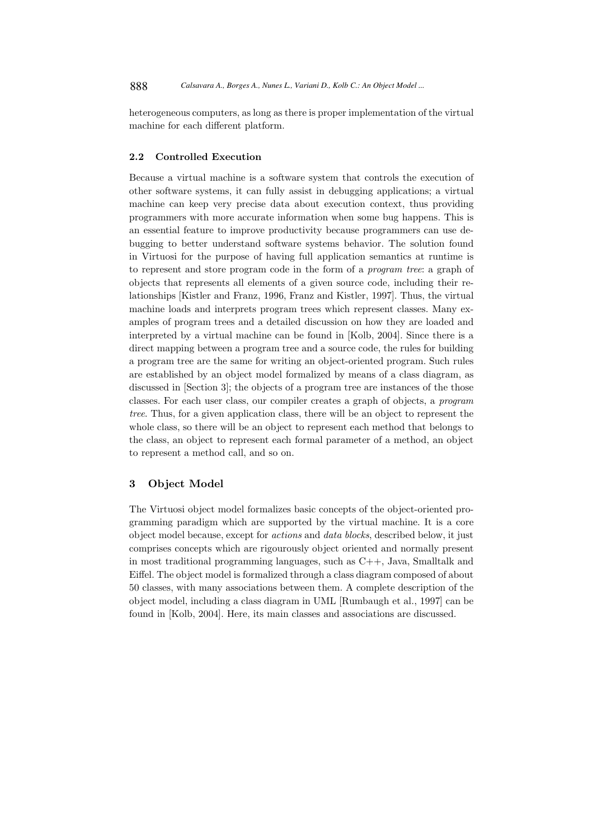heterogeneous computers, as long as there is proper implementation of the virtual machine for each different platform.

### 2.2 Controlled Execution

Because a virtual machine is a software system that controls the execution of other software systems, it can fully assist in debugging applications; a virtual machine can keep very precise data about execution context, thus providing programmers with more accurate information when some bug happens. This is an essential feature to improve productivity because programmers can use debugging to better understand software systems behavior. The solution found in Virtuosi for the purpose of having full application semantics at runtime is to represent and store program code in the form of a program tree: a graph of objects that represents all elements of a given source code, including their relationships [Kistler and Franz, 1996, Franz and Kistler, 1997]. Thus, the virtual machine loads and interprets program trees which represent classes. Many examples of program trees and a detailed discussion on how they are loaded and interpreted by a virtual machine can be found in [Kolb, 2004]. Since there is a direct mapping between a program tree and a source code, the rules for building a program tree are the same for writing an object-oriented program. Such rules are established by an object model formalized by means of a class diagram, as discussed in [Section 3]; the objects of a program tree are instances of the those classes. For each user class, our compiler creates a graph of objects, a program tree. Thus, for a given application class, there will be an object to represent the whole class, so there will be an object to represent each method that belongs to the class, an object to represent each formal parameter of a method, an object to represent a method call, and so on.

# 3 Object Model

The Virtuosi object model formalizes basic concepts of the object-oriented programming paradigm which are supported by the virtual machine. It is a core object model because, except for actions and data blocks, described below, it just comprises concepts which are rigourously object oriented and normally present in most traditional programming languages, such as C++, Java, Smalltalk and Eiffel. The object model is formalized through a class diagram composed of about 50 classes, with many associations between them. A complete description of the object model, including a class diagram in UML [Rumbaugh et al., 1997] can be found in [Kolb, 2004]. Here, its main classes and associations are discussed.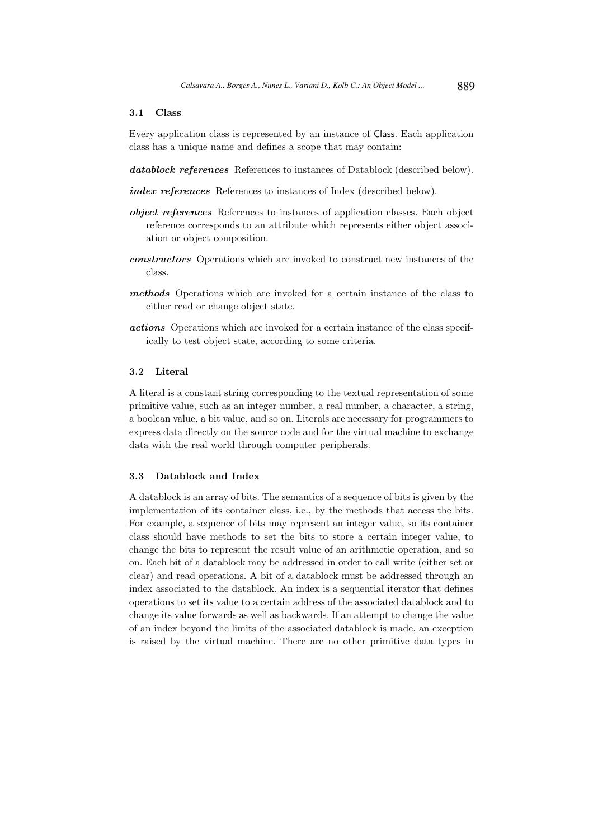### 3.1 Class

Every application class is represented by an instance of Class. Each application class has a unique name and defines a scope that may contain:

- datablock references References to instances of Datablock (described below).
- index references References to instances of Index (described below).
- object references References to instances of application classes. Each object reference corresponds to an attribute which represents either object association or object composition.
- constructors Operations which are invoked to construct new instances of the class.
- methods Operations which are invoked for a certain instance of the class to either read or change object state.
- actions Operations which are invoked for a certain instance of the class specifically to test object state, according to some criteria.

### 3.2 Literal

A literal is a constant string corresponding to the textual representation of some primitive value, such as an integer number, a real number, a character, a string, a boolean value, a bit value, and so on. Literals are necessary for programmers to express data directly on the source code and for the virtual machine to exchange data with the real world through computer peripherals.

# 3.3 Datablock and Index

A datablock is an array of bits. The semantics of a sequence of bits is given by the implementation of its container class, i.e., by the methods that access the bits. For example, a sequence of bits may represent an integer value, so its container class should have methods to set the bits to store a certain integer value, to change the bits to represent the result value of an arithmetic operation, and so on. Each bit of a datablock may be addressed in order to call write (either set or clear) and read operations. A bit of a datablock must be addressed through an index associated to the datablock. An index is a sequential iterator that defines operations to set its value to a certain address of the associated datablock and to change its value forwards as well as backwards. If an attempt to change the value of an index beyond the limits of the associated datablock is made, an exception is raised by the virtual machine. There are no other primitive data types in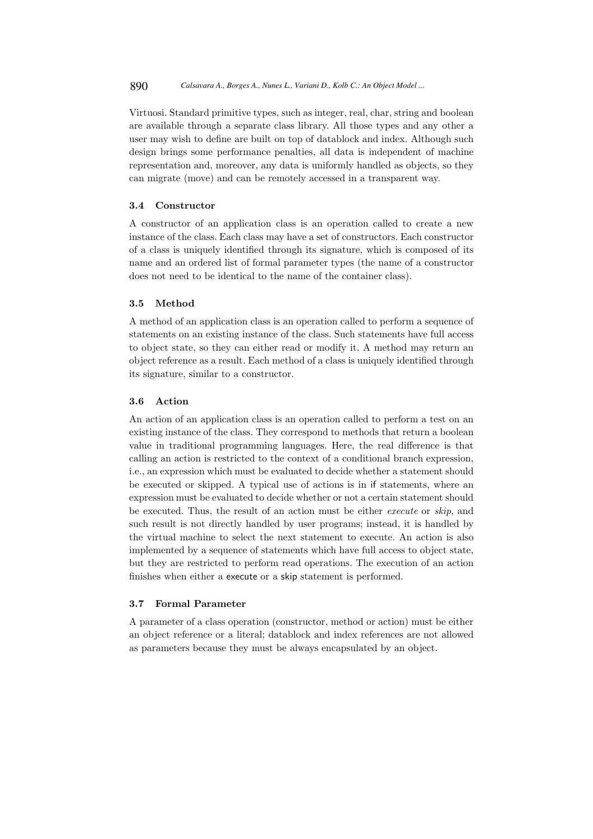Virtuosi. Standard primitive types, such as integer, real, char, string and boolean are available through a separate class library. All those types and any other a user may wish to define are built on top of datablock and index. Although such design brings some performance penalties, all data is independent of machine representation and, moreover, any data is uniformly handled as objects, so they can migrate (move) and can be remotely accessed in a transparent way.

## 3.4 Constructor

A constructor of an application class is an operation called to create a new instance of the class. Each class may have a set of constructors. Each constructor of a class is uniquely identified through its signature, which is composed of its name and an ordered list of formal parameter types (the name of a constructor does not need to be identical to the name of the container class).

## 3.5 Method

A method of an application class is an operation called to perform a sequence of statements on an existing instance of the class. Such statements have full access to object state, so they can either read or modify it. A method may return an object reference as a result. Each method of a class is uniquely identified through its signature, similar to a constructor.

## 3.6 Action

An action of an application class is an operation called to perform a test on an existing instance of the class. They correspond to methods that return a boolean value in traditional programming languages. Here, the real difference is that calling an action is restricted to the context of a conditional branch expression, i.e., an expression which must be evaluated to decide whether a statement should be executed or skipped. A typical use of actions is in if statements, where an expression must be evaluated to decide whether or not a certain statement should be executed. Thus, the result of an action must be either execute or skip, and such result is not directly handled by user programs; instead, it is handled by the virtual machine to select the next statement to execute. An action is also implemented by a sequence of statements which have full access to object state, but they are restricted to perform read operations. The execution of an action finishes when either a execute or a skip statement is performed.

# 3.7 Formal Parameter

A parameter of a class operation (constructor, method or action) must be either an object reference or a literal; datablock and index references are not allowed as parameters because they must be always encapsulated by an object.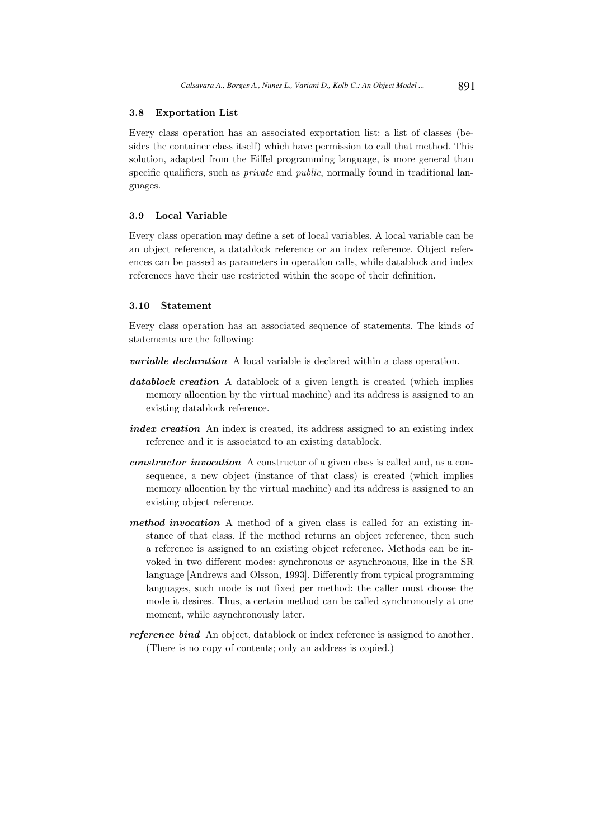### 3.8 Exportation List

Every class operation has an associated exportation list: a list of classes (besides the container class itself) which have permission to call that method. This solution, adapted from the Eiffel programming language, is more general than specific qualifiers, such as *private* and *public*, normally found in traditional languages.

# 3.9 Local Variable

Every class operation may define a set of local variables. A local variable can be an object reference, a datablock reference or an index reference. Object references can be passed as parameters in operation calls, while datablock and index references have their use restricted within the scope of their definition.

## 3.10 Statement

Every class operation has an associated sequence of statements. The kinds of statements are the following:

- **variable declaration** A local variable is declared within a class operation.
- datablock creation A datablock of a given length is created (which implies memory allocation by the virtual machine) and its address is assigned to an existing datablock reference.
- index creation An index is created, its address assigned to an existing index reference and it is associated to an existing datablock.
- constructor invocation A constructor of a given class is called and, as a consequence, a new object (instance of that class) is created (which implies memory allocation by the virtual machine) and its address is assigned to an existing object reference.
- method invocation A method of a given class is called for an existing instance of that class. If the method returns an object reference, then such a reference is assigned to an existing object reference. Methods can be invoked in two different modes: synchronous or asynchronous, like in the SR language [Andrews and Olsson, 1993]. Differently from typical programming languages, such mode is not fixed per method: the caller must choose the mode it desires. Thus, a certain method can be called synchronously at one moment, while asynchronously later.
- reference bind An object, datablock or index reference is assigned to another. (There is no copy of contents; only an address is copied.)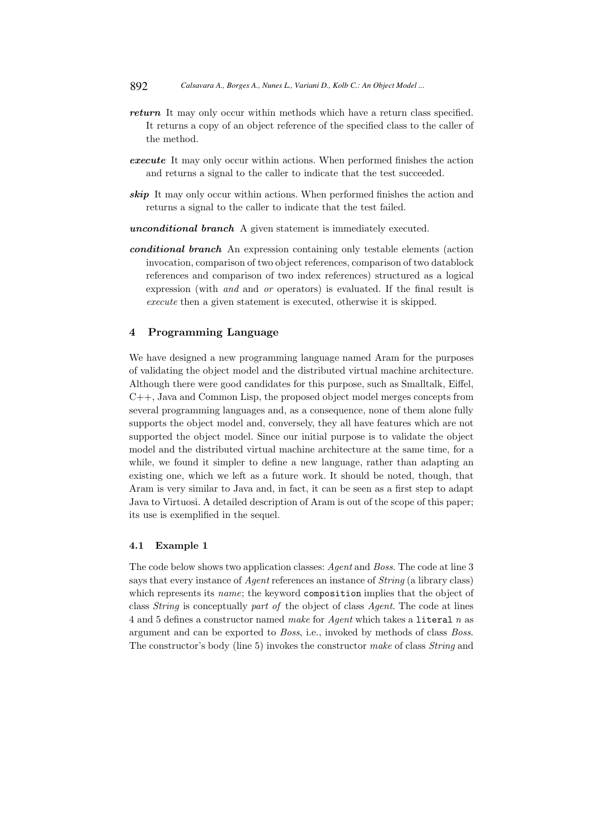- return It may only occur within methods which have a return class specified. It returns a copy of an object reference of the specified class to the caller of the method.
- execute It may only occur within actions. When performed finishes the action and returns a signal to the caller to indicate that the test succeeded.
- skip It may only occur within actions. When performed finishes the action and returns a signal to the caller to indicate that the test failed.
- unconditional branch A given statement is immediately executed.
- conditional branch An expression containing only testable elements (action invocation, comparison of two object references, comparison of two datablock references and comparison of two index references) structured as a logical expression (with and and or operators) is evaluated. If the final result is execute then a given statement is executed, otherwise it is skipped.

# 4 Programming Language

We have designed a new programming language named Aram for the purposes of validating the object model and the distributed virtual machine architecture. Although there were good candidates for this purpose, such as Smalltalk, Eiffel, C++, Java and Common Lisp, the proposed object model merges concepts from several programming languages and, as a consequence, none of them alone fully supports the object model and, conversely, they all have features which are not supported the object model. Since our initial purpose is to validate the object model and the distributed virtual machine architecture at the same time, for a while, we found it simpler to define a new language, rather than adapting an existing one, which we left as a future work. It should be noted, though, that Aram is very similar to Java and, in fact, it can be seen as a first step to adapt Java to Virtuosi. A detailed description of Aram is out of the scope of this paper; its use is exemplified in the sequel.

### 4.1 Example 1

The code below shows two application classes: Agent and Boss. The code at line 3 says that every instance of *Agent* references an instance of *String* (a library class) which represents its name; the keyword composition implies that the object of class String is conceptually part of the object of class Agent. The code at lines 4 and 5 defines a constructor named make for Agent which takes a literal n as argument and can be exported to Boss, i.e., invoked by methods of class Boss. The constructor's body (line 5) invokes the constructor make of class String and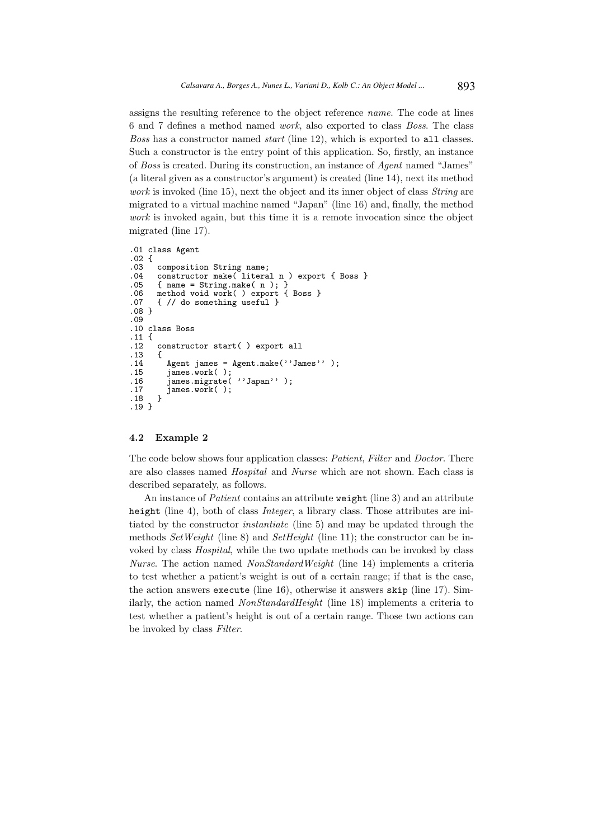assigns the resulting reference to the object reference name. The code at lines 6 and 7 defines a method named work, also exported to class Boss. The class Boss has a constructor named start (line 12), which is exported to all classes. Such a constructor is the entry point of this application. So, firstly, an instance of Boss is created. During its construction, an instance of Agent named "James" (a literal given as a constructor's argument) is created (line 14), next its method work is invoked (line 15), next the object and its inner object of class *String* are migrated to a virtual machine named "Japan" (line 16) and, finally, the method work is invoked again, but this time it is a remote invocation since the object migrated (line 17).

```
.01 class Agent
.02 {
.03 composition String name;<br>.04 constructor make(litera
.04 constructor make(\text{literal } n) export { Boss }<br>.05 { name = String.make(n); }
.05 { name = String.make( n ); }<br>.06 method void work( ) export {
.06 method void work( ) export { Boss }<br>.07 { // do something useful }
        \{ // do something useful }
.08 }
.09
.10 class Boss
.11 \t{1}<br>.12
        constructor start( ) export all
.13<br>.14.14 Agent james = Agent.make(''James'' );<br>.15 iames.work( ):
.15 james.work( );
.16 james.migrate( ''Japan'' );
.17 james.work();<br>.18 }
.18 }
.19 }
```
## 4.2 Example 2

The code below shows four application classes: *Patient, Filter* and *Doctor*. There are also classes named Hospital and Nurse which are not shown. Each class is described separately, as follows.

An instance of *Patient* contains an attribute weight (line 3) and an attribute height (line 4), both of class *Integer*, a library class. Those attributes are initiated by the constructor instantiate (line 5) and may be updated through the methods  $SetWeight$  (line 8) and  $SetHeight$  (line 11); the constructor can be invoked by class Hospital, while the two update methods can be invoked by class Nurse. The action named *NonStandardWeight* (line 14) implements a criteria to test whether a patient's weight is out of a certain range; if that is the case, the action answers execute (line 16), otherwise it answers skip (line 17). Similarly, the action named NonStandardHeight (line 18) implements a criteria to test whether a patient's height is out of a certain range. Those two actions can be invoked by class Filter.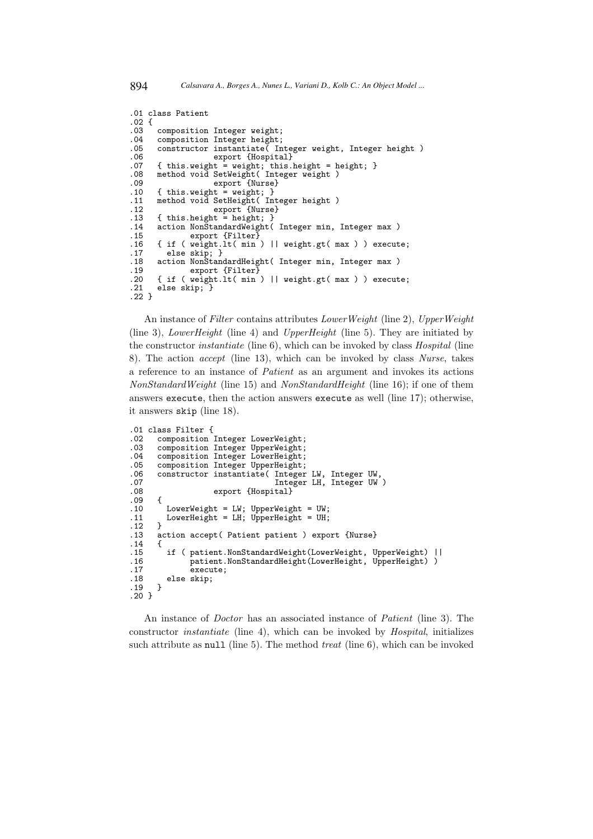```
.01 class Patient
.02 {
.03 composition Integer weight;<br>.04 composition Integer height;
.04 composition Integer height;<br>.05 constructor instantiate( In
.05 constructor instantiate( Integer weight, Integer height)<br>.06 export {Hospital}
                     export {Hospital}
.07 { this.weight = weight; this.height = height; }
.08 method void SetWeight( Integer weight )
.09 export {Nurse}<br>.10 { this.weight = weight; }
.10 { this.weight = weight; }<br>.11 method void SetHeight( In
.11 method void SetHeight( Integer height )
.12 export {Nurse}
.13 { this.height = height; }
.14 action NonStandardWeight( Integer min, Integer max )<br>.15 export {Filter}
               export {Filter}
.16 { if ( weight.lt( min ) || weight.gt( max ) ) execute;
.17 else skip; }
.18 action NonStandardHeight( Integer min, Integer max )
.19 export {Filter}<br>.20 { if ( weight.lt( min
.20 { if ( weight.lt( min ) || weight.gt( max ) ) execute;
       else skip; }
.22 }
```
An instance of Filter contains attributes LowerWeight (line 2), UpperWeight (line 3), *LowerHeight* (line 4) and *UpperHeight* (line 5). They are initiated by the constructor instantiate (line 6), which can be invoked by class Hospital (line 8). The action accept (line 13), which can be invoked by class Nurse, takes a reference to an instance of Patient as an argument and invokes its actions NonStandardWeight (line 15) and NonStandardHeight (line 16); if one of them answers execute, then the action answers execute as well (line 17); otherwise, it answers skip (line 18).

```
.01 class Filter {<br>.02 composition
.02 composition Integer LowerWeight;<br>.03 composition Integer UpperWeight;
       composition Integer UpperWeight;
.04 composition Integer LowerHeight;<br>.05 composition Integer UpperHeight;
.05 composition Integer UpperHeight;<br>.06 constructor instantiate( Integer
.06 constructor instantiate( Integer LW, Integer UW,
.07 Integer LH, Integer UW )
       export {Hospital}
.09<br>.10.10 LowerWeight = LW; UpperWeight = UW;<br>.11 LowerHeight = LH; UpperHeight = UH;
       LowerHeight = LH; UpperHeight = UH;
.12 }
.13 action accept( Patient patient ) export {Nurse}
.14<br>.15.15 if ( patient.NonStandardWeight(LowerWeight, UpperWeight) ||
.16 patient.NonStandardHeight(LowerHeight, UpperHeight) )<br>.17 execute;
.17 execute;<br>.18 else skip:
       else skip;<br>}
.19 }
.20 }
```
An instance of Doctor has an associated instance of Patient (line 3). The constructor instantiate (line 4), which can be invoked by Hospital, initializes such attribute as null (line 5). The method *treat* (line 6), which can be invoked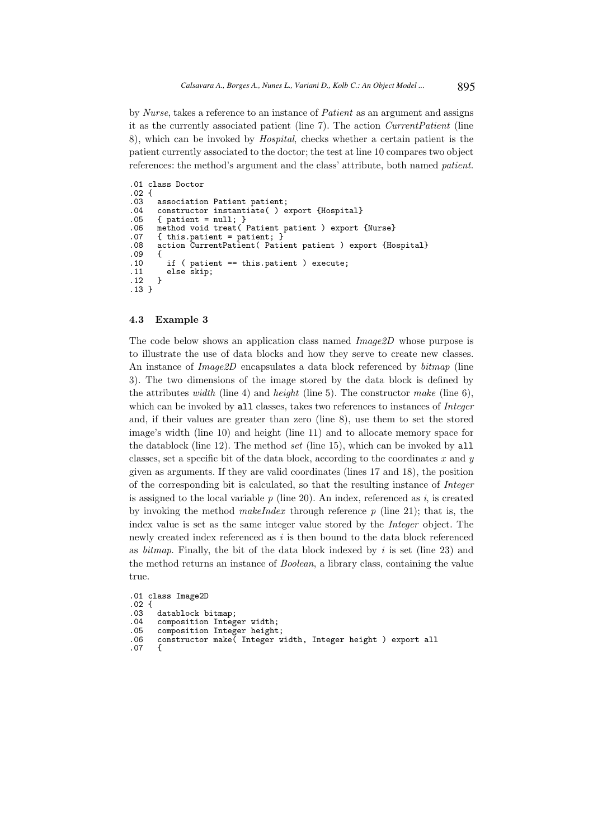by Nurse, takes a reference to an instance of Patient as an argument and assigns it as the currently associated patient (line 7). The action CurrentPatient (line 8), which can be invoked by Hospital, checks whether a certain patient is the patient currently associated to the doctor; the test at line 10 compares two object references: the method's argument and the class' attribute, both named patient.

```
.01 class Doctor
.02 \{<br>.03association Patient patient;
.04 constructor instantiate( ) export {Hospital}<br>.05 { patient = null: }
.05 { patient = null; }<br>.06 method void treat(
.06 method void treat( Patient patient ) export {Nurse}<br>.07 { this.patient = patient; }
.07 { this.patient = patient; }<br>.08 action CurrentPatient( Pati
        action CurrentPatient( Patient patient ) export {Hospital}
.09 {
.10 if ( patient == this.patient ) execute;
       else skip;
.12.13 }
```
## 4.3 Example 3

The code below shows an application class named Image2D whose purpose is to illustrate the use of data blocks and how they serve to create new classes. An instance of *Image2D* encapsulates a data block referenced by  $\text{bitmap}$  (line 3). The two dimensions of the image stored by the data block is defined by the attributes *width* (line 4) and *height* (line 5). The constructor *make* (line 6), which can be invoked by all classes, takes two references to instances of *Integer* and, if their values are greater than zero (line 8), use them to set the stored image's width (line 10) and height (line 11) and to allocate memory space for the datablock (line 12). The method set (line 15), which can be invoked by all classes, set a specific bit of the data block, according to the coordinates  $x$  and  $y$ given as arguments. If they are valid coordinates (lines 17 and 18), the position of the corresponding bit is calculated, so that the resulting instance of Integer is assigned to the local variable  $p$  (line 20). An index, referenced as i, is created by invoking the method *makeIndex* through reference  $p$  (line 21); that is, the index value is set as the same integer value stored by the Integer object. The newly created index referenced as  $i$  is then bound to the data block referenced as bitmap. Finally, the bit of the data block indexed by  $i$  is set (line 23) and the method returns an instance of Boolean, a library class, containing the value true.

```
.01 class Image2D
.02 \t{.03}.03 datablock bitmap;<br>.04 composition Integ
.04 composition Integer width;
.05 composition Integer height;<br>.06 constructor make(Integer w
        constructor make( Integer width, Integer height ) export all {
.07 {
```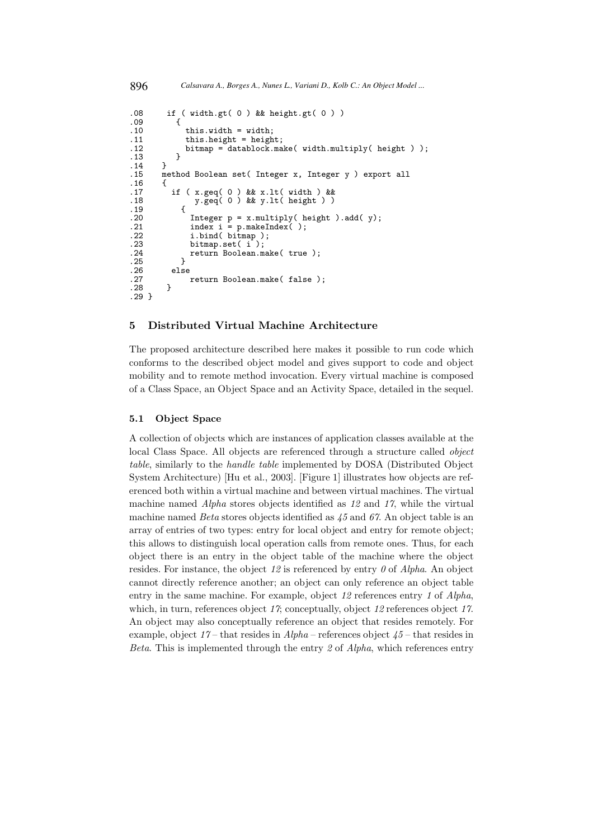```
.08 if ( width.gt( 0 ) && height.gt( 0 ) )
.09<br>.10.10 this.width = width;<br>.11 this.height = heigh
.11 this.height = height;<br>.12 bitmap = datablock.ma
           bitmap = datablock.make( width.multiply( height ) );<br>}
\begin{matrix} .13 \\ .14 \end{matrix} }
.14 }
.15 method Boolean set( Integer x, Integer y ) export all
.16<br>.17.17 if ( x.geq( 0 ) && x.lt( width ) &&
.18 y.geq( 0 ) && y.lt( height ) )
.19 {<br>.20 }
.20 Integer p = x.multiply( height ).add( y);
.21 index i = p.makeIndex( );
.<br>
.22 i.bind( bitmap );<br>
.23 bitmap.set( i);<br>
.24 return Boolean.ma
               bitmap.set( i );
            return Boolean.make( true );
.25<br>.26
.26 else
         return Boolean.make( false );<br>}
.28 }
.29 }
896 Calsavara A., Borges A., Nunes L., Variani D., Kolb C.: An Object Model ...
```
# 5 Distributed Virtual Machine Architecture

The proposed architecture described here makes it possible to run code which conforms to the described object model and gives support to code and object mobility and to remote method invocation. Every virtual machine is composed of a Class Space, an Object Space and an Activity Space, detailed in the sequel.

## 5.1 Object Space

A collection of objects which are instances of application classes available at the local Class Space. All objects are referenced through a structure called object table, similarly to the handle table implemented by DOSA (Distributed Object System Architecture) [Hu et al., 2003]. [Figure 1] illustrates how objects are referenced both within a virtual machine and between virtual machines. The virtual machine named Alpha stores objects identified as 12 and 17, while the virtual machine named *Beta* stores objects identified as  $45$  and  $67$ . An object table is an array of entries of two types: entry for local object and entry for remote object; this allows to distinguish local operation calls from remote ones. Thus, for each object there is an entry in the object table of the machine where the object resides. For instance, the object  $12$  is referenced by entry  $\theta$  of Alpha. An object cannot directly reference another; an object can only reference an object table entry in the same machine. For example, object 12 references entry 1 of Alpha, which, in turn, references object 17; conceptually, object 12 references object 17. An object may also conceptually reference an object that resides remotely. For example, object  $17$  – that resides in  $Alpha$  – references object  $45$  – that resides in Beta. This is implemented through the entry  $\mathfrak z$  of Alpha, which references entry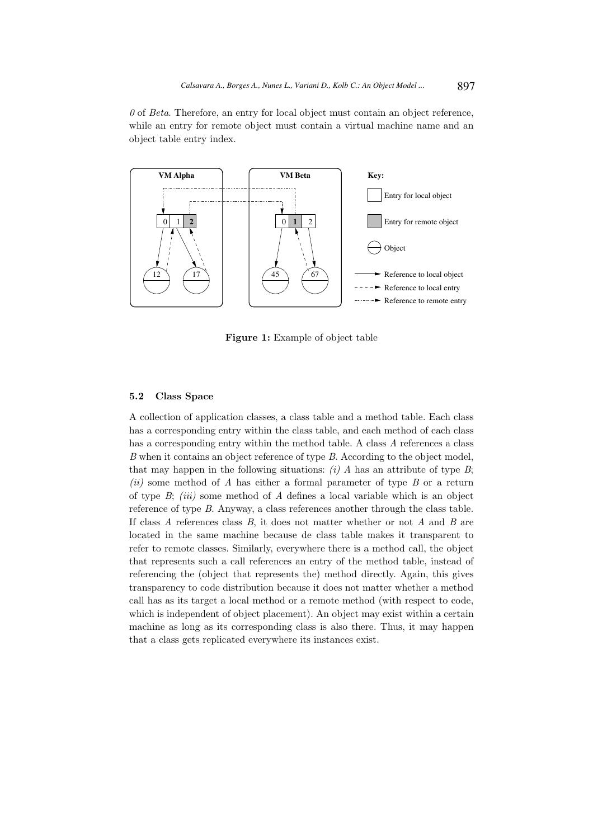$\theta$  of Beta. Therefore, an entry for local object must contain an object reference, while an entry for remote object must contain a virtual machine name and an object table entry index.



Figure 1: Example of object table

### 5.2 Class Space

A collection of application classes, a class table and a method table. Each class has a corresponding entry within the class table, and each method of each class has a corresponding entry within the method table. A class A references a class B when it contains an object reference of type B. According to the object model, that may happen in the following situations:  $(i)$  A has an attribute of type B; (ii) some method of A has either a formal parameter of type B or a return of type  $B$ ; *(iii)* some method of  $A$  defines a local variable which is an object reference of type B. Anyway, a class references another through the class table. If class  $A$  references class  $B$ , it does not matter whether or not  $A$  and  $B$  are located in the same machine because de class table makes it transparent to refer to remote classes. Similarly, everywhere there is a method call, the object that represents such a call references an entry of the method table, instead of referencing the (object that represents the) method directly. Again, this gives transparency to code distribution because it does not matter whether a method call has as its target a local method or a remote method (with respect to code, which is independent of object placement). An object may exist within a certain machine as long as its corresponding class is also there. Thus, it may happen that a class gets replicated everywhere its instances exist.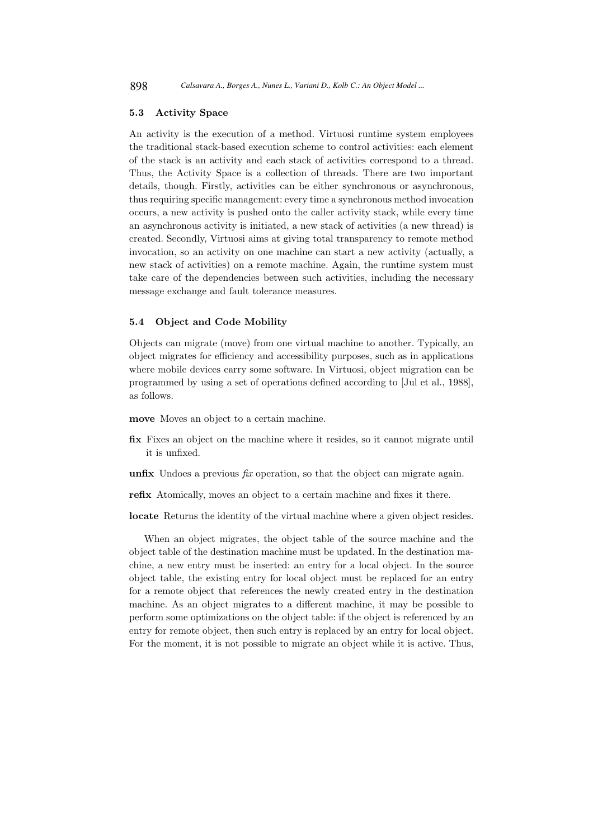## 5.3 Activity Space

An activity is the execution of a method. Virtuosi runtime system employees the traditional stack-based execution scheme to control activities: each element of the stack is an activity and each stack of activities correspond to a thread. Thus, the Activity Space is a collection of threads. There are two important details, though. Firstly, activities can be either synchronous or asynchronous, thus requiring specific management: every time a synchronous method invocation occurs, a new activity is pushed onto the caller activity stack, while every time an asynchronous activity is initiated, a new stack of activities (a new thread) is created. Secondly, Virtuosi aims at giving total transparency to remote method invocation, so an activity on one machine can start a new activity (actually, a new stack of activities) on a remote machine. Again, the runtime system must take care of the dependencies between such activities, including the necessary message exchange and fault tolerance measures.

# 5.4 Object and Code Mobility

Objects can migrate (move) from one virtual machine to another. Typically, an object migrates for efficiency and accessibility purposes, such as in applications where mobile devices carry some software. In Virtuosi, object migration can be programmed by using a set of operations defined according to [Jul et al., 1988], as follows.

move Moves an object to a certain machine.

- fix Fixes an object on the machine where it resides, so it cannot migrate until it is unfixed.
- unfix Undoes a previous  $fix$  operation, so that the object can migrate again.
- refix Atomically, moves an object to a certain machine and fixes it there.

locate Returns the identity of the virtual machine where a given object resides.

When an object migrates, the object table of the source machine and the object table of the destination machine must be updated. In the destination machine, a new entry must be inserted: an entry for a local object. In the source object table, the existing entry for local object must be replaced for an entry for a remote object that references the newly created entry in the destination machine. As an object migrates to a different machine, it may be possible to perform some optimizations on the object table: if the object is referenced by an entry for remote object, then such entry is replaced by an entry for local object. For the moment, it is not possible to migrate an object while it is active. Thus,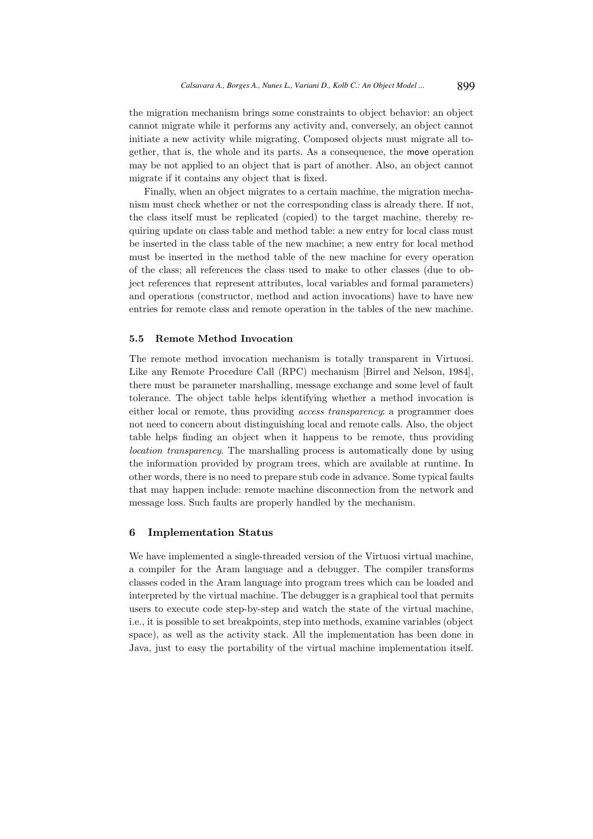the migration mechanism brings some constraints to object behavior: an object cannot migrate while it performs any activity and, conversely, an object cannot initiate a new activity while migrating. Composed objects must migrate all together, that is, the whole and its parts. As a consequence, the move operation may be not applied to an object that is part of another. Also, an object cannot migrate if it contains any object that is fixed.

Finally, when an object migrates to a certain machine, the migration mechanism must check whether or not the corresponding class is already there. If not, the class itself must be replicated (copied) to the target machine, thereby requiring update on class table and method table: a new entry for local class must be inserted in the class table of the new machine; a new entry for local method must be inserted in the method table of the new machine for every operation of the class; all references the class used to make to other classes (due to object references that represent attributes, local variables and formal parameters) and operations (constructor, method and action invocations) have to have new entries for remote class and remote operation in the tables of the new machine.

#### 5.5 Remote Method Invocation

The remote method invocation mechanism is totally transparent in Virtuosi. Like any Remote Procedure Call (RPC) mechanism [Birrel and Nelson, 1984], there must be parameter marshalling, message exchange and some level of fault tolerance. The object table helps identifying whether a method invocation is either local or remote, thus providing access transparency: a programmer does not need to concern about distinguishing local and remote calls. Also, the object table helps finding an object when it happens to be remote, thus providing location transparency. The marshalling process is automatically done by using the information provided by program trees, which are available at runtime. In other words, there is no need to prepare stub code in advance. Some typical faults that may happen include: remote machine disconnection from the network and message loss. Such faults are properly handled by the mechanism.

## 6 Implementation Status

We have implemented a single-threaded version of the Virtuosi virtual machine, a compiler for the Aram language and a debugger. The compiler transforms classes coded in the Aram language into program trees which can be loaded and interpreted by the virtual machine. The debugger is a graphical tool that permits users to execute code step-by-step and watch the state of the virtual machine, i.e., it is possible to set breakpoints, step into methods, examine variables (object space), as well as the activity stack. All the implementation has been done in Java, just to easy the portability of the virtual machine implementation itself.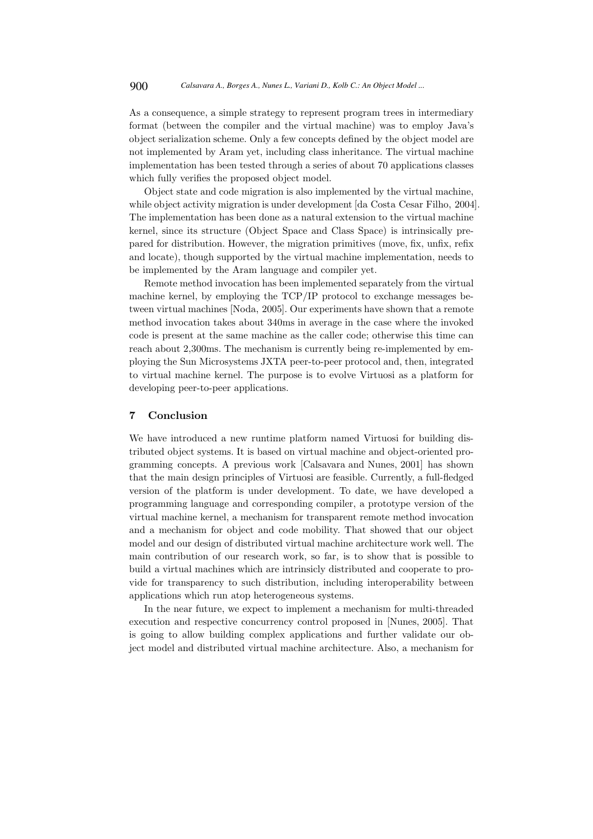As a consequence, a simple strategy to represent program trees in intermediary format (between the compiler and the virtual machine) was to employ Java's object serialization scheme. Only a few concepts defined by the object model are not implemented by Aram yet, including class inheritance. The virtual machine implementation has been tested through a series of about 70 applications classes which fully verifies the proposed object model.

Object state and code migration is also implemented by the virtual machine, while object activity migration is under development [da Costa Cesar Filho, 2004]. The implementation has been done as a natural extension to the virtual machine kernel, since its structure (Object Space and Class Space) is intrinsically prepared for distribution. However, the migration primitives (move, fix, unfix, refix and locate), though supported by the virtual machine implementation, needs to be implemented by the Aram language and compiler yet.

Remote method invocation has been implemented separately from the virtual machine kernel, by employing the TCP/IP protocol to exchange messages between virtual machines [Noda, 2005]. Our experiments have shown that a remote method invocation takes about 340ms in average in the case where the invoked code is present at the same machine as the caller code; otherwise this time can reach about 2,300ms. The mechanism is currently being re-implemented by employing the Sun Microsystems JXTA peer-to-peer protocol and, then, integrated to virtual machine kernel. The purpose is to evolve Virtuosi as a platform for developing peer-to-peer applications.

### 7 Conclusion

We have introduced a new runtime platform named Virtuosi for building distributed object systems. It is based on virtual machine and object-oriented programming concepts. A previous work [Calsavara and Nunes, 2001] has shown that the main design principles of Virtuosi are feasible. Currently, a full-fledged version of the platform is under development. To date, we have developed a programming language and corresponding compiler, a prototype version of the virtual machine kernel, a mechanism for transparent remote method invocation and a mechanism for object and code mobility. That showed that our object model and our design of distributed virtual machine architecture work well. The main contribution of our research work, so far, is to show that is possible to build a virtual machines which are intrinsicly distributed and cooperate to provide for transparency to such distribution, including interoperability between applications which run atop heterogeneous systems.

In the near future, we expect to implement a mechanism for multi-threaded execution and respective concurrency control proposed in [Nunes, 2005]. That is going to allow building complex applications and further validate our object model and distributed virtual machine architecture. Also, a mechanism for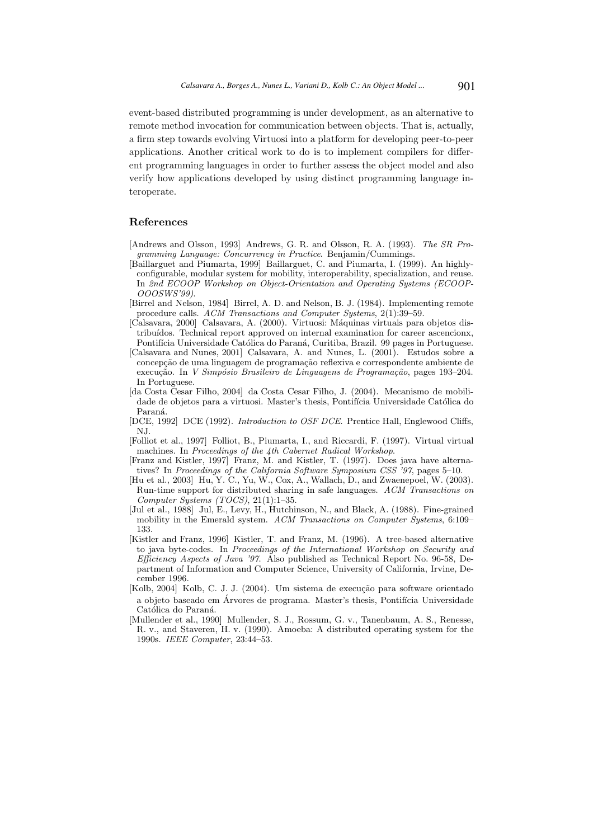event-based distributed programming is under development, as an alternative to remote method invocation for communication between objects. That is, actually, a firm step towards evolving Virtuosi into a platform for developing peer-to-peer applications. Another critical work to do is to implement compilers for different programming languages in order to further assess the object model and also verify how applications developed by using distinct programming language interoperate.

### References

- [Andrews and Olsson, 1993] Andrews, G. R. and Olsson, R. A. (1993). The SR Programming Language: Concurrency in Practice. Benjamin/Cummings.
- [Baillarguet and Piumarta, 1999] Baillarguet, C. and Piumarta, I. (1999). An highlyconfigurable, modular system for mobility, interoperability, specialization, and reuse. In 2nd ECOOP Workshop on Object-Orientation and Operating Systems (ECOOP-OOOSWS'99).
- [Birrel and Nelson, 1984] Birrel, A. D. and Nelson, B. J. (1984). Implementing remote procedure calls. ACM Transactions and Computer Systems, 2(1):39–59.
- [Calsavara, 2000] Calsavara, A. (2000). Virtuosi: Máquinas virtuais para objetos distribuídos. Technical report approved on internal examination for career ascencionx, Pontifícia Universidade Católica do Paraná, Curitiba, Brazil. 99 pages in Portuguese.
- [Calsavara and Nunes, 2001] Calsavara, A. and Nunes, L. (2001). Estudos sobre a concepção de uma linguagem de programação reflexiva e correspondente ambiente de execução. In *V Simpósio Brasileiro de Linguagens de Programação*, pages 193–204. In Portuguese.
- [da Costa Cesar Filho, 2004] da Costa Cesar Filho, J. (2004). Mecanismo de mobilidade de objetos para a virtuosi. Master's thesis, Pontifícia Universidade Católica do Paraná.
- [DCE, 1992] DCE (1992). Introduction to OSF DCE. Prentice Hall, Englewood Cliffs, NJ.
- [Folliot et al., 1997] Folliot, B., Piumarta, I., and Riccardi, F. (1997). Virtual virtual machines. In Proceedings of the 4th Cabernet Radical Workshop.
- [Franz and Kistler, 1997] Franz, M. and Kistler, T. (1997). Does java have alternatives? In Proceedings of the California Software Symposium CSS '97, pages 5–10.
- [Hu et al., 2003] Hu, Y. C., Yu, W., Cox, A., Wallach, D., and Zwaenepoel, W. (2003). Run-time support for distributed sharing in safe languages. ACM Transactions on Computer Systems (TOCS), 21(1):1–35.
- [Jul et al., 1988] Jul, E., Levy, H., Hutchinson, N., and Black, A. (1988). Fine-grained mobility in the Emerald system. ACM Transactions on Computer Systems,  $6:109-$ 133.
- [Kistler and Franz, 1996] Kistler, T. and Franz, M. (1996). A tree-based alternative to java byte-codes. In Proceedings of the International Workshop on Security and Efficiency Aspects of Java '97. Also published as Technical Report No. 96-58, Department of Information and Computer Science, University of California, Irvine, December 1996.
- [Kolb, 2004] Kolb, C. J. J. (2004). Um sistema de execução para software orientado a objeto baseado em Árvores de programa. Master's thesis, Pontifícia Universidade Católica do Paraná.
- [Mullender et al., 1990] Mullender, S. J., Rossum, G. v., Tanenbaum, A. S., Renesse, R. v., and Staveren, H. v. (1990). Amoeba: A distributed operating system for the 1990s. IEEE Computer, 23:44–53.